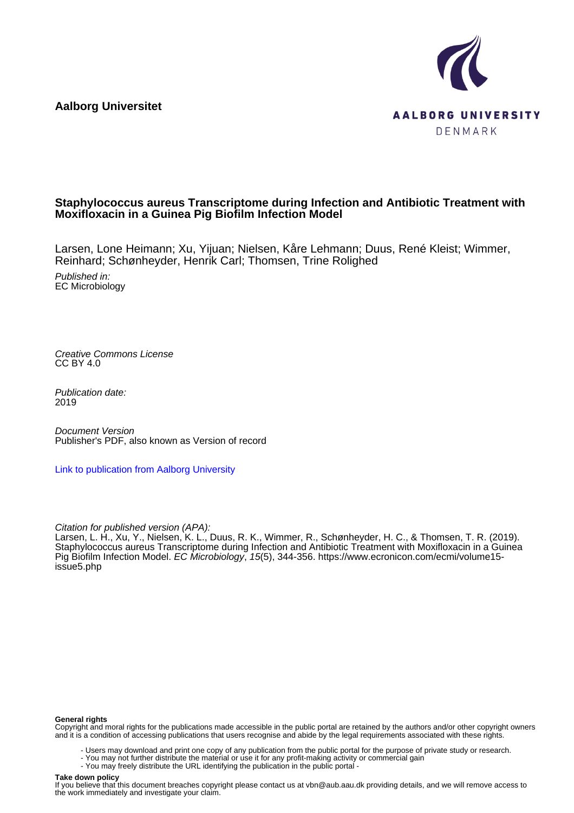**Aalborg Universitet**



## **Staphylococcus aureus Transcriptome during Infection and Antibiotic Treatment with Moxifloxacin in a Guinea Pig Biofilm Infection Model**

Larsen, Lone Heimann; Xu, Yijuan; Nielsen, Kåre Lehmann; Duus, René Kleist; Wimmer, Reinhard; Schønheyder, Henrik Carl; Thomsen, Trine Rolighed

Published in: EC Microbiology

Creative Commons License CC BY 4.0

Publication date: 2019

Document Version Publisher's PDF, also known as Version of record

[Link to publication from Aalborg University](https://vbn.aau.dk/en/publications/5f5ab0b8-f3d3-4ba4-97e3-5f4d6d025e10)

Citation for published version (APA):

Larsen, L. H., Xu, Y., Nielsen, K. L., Duus, R. K., Wimmer, R., Schønheyder, H. C., & Thomsen, T. R. (2019). Staphylococcus aureus Transcriptome during Infection and Antibiotic Treatment with Moxifloxacin in a Guinea Pig Biofilm Infection Model. EC Microbiology, 15(5), 344-356. [https://www.ecronicon.com/ecmi/volume15](https://www.ecronicon.com/ecmi/volume15-issue5.php) [issue5.php](https://www.ecronicon.com/ecmi/volume15-issue5.php)

#### **General rights**

Copyright and moral rights for the publications made accessible in the public portal are retained by the authors and/or other copyright owners and it is a condition of accessing publications that users recognise and abide by the legal requirements associated with these rights.

- Users may download and print one copy of any publication from the public portal for the purpose of private study or research.
- You may not further distribute the material or use it for any profit-making activity or commercial gain
- You may freely distribute the URL identifying the publication in the public portal -

#### **Take down policy**

If you believe that this document breaches copyright please contact us at vbn@aub.aau.dk providing details, and we will remove access to the work immediately and investigate your claim.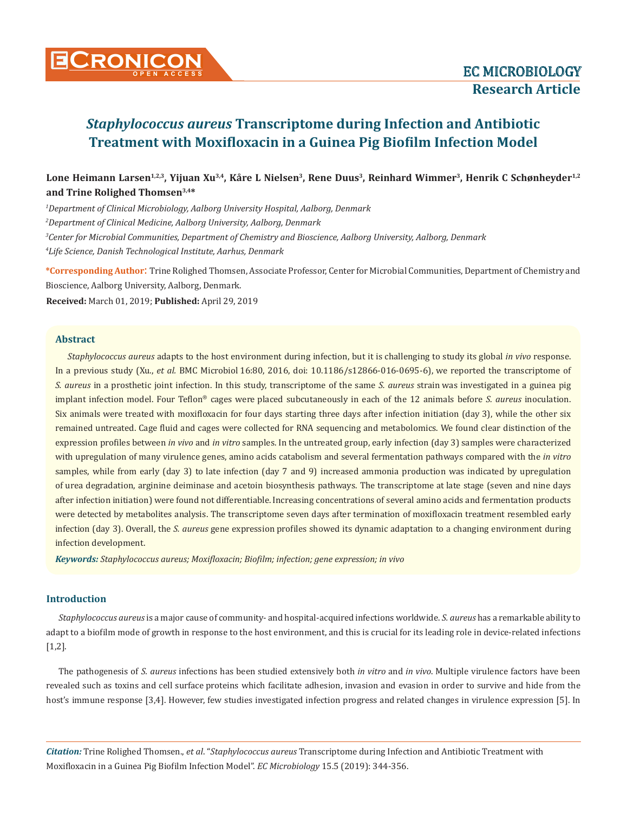

## Lone Heimann Larsen<sup>1,2,3</sup>, Yijuan Xu<sup>3,4</sup>, Kåre L Nielsen<sup>3</sup>, Rene Duus<sup>3</sup>, Reinhard Wimmer<sup>3</sup>, Henrik C Schønheyder<sup>1,2</sup> **and Trine Rolighed Thomsen3,4\***

 *Department of Clinical Microbiology, Aalborg University Hospital, Aalborg, Denmark Department of Clinical Medicine, Aalborg University, Aalborg, Denmark Center for Microbial Communities, Department of Chemistry and Bioscience, Aalborg University, Aalborg, Denmark Life Science, Danish Technological Institute, Aarhus, Denmark*

**\*Corresponding Author**: Trine Rolighed Thomsen, Associate Professor, Center for Microbial Communities, Department of Chemistry and Bioscience, Aalborg University, Aalborg, Denmark.

**Received:** March 01, 2019; **Published:** April 29, 2019

#### **Abstract**

*Staphylococcus aureus* adapts to the host environment during infection, but it is challenging to study its global *in vivo* response. In a previous study (Xu., *et al.* BMC Microbiol 16:80, 2016, doi: 10.1186/s12866-016-0695-6), we reported the transcriptome of *S. aureus* in a prosthetic joint infection. In this study, transcriptome of the same *S. aureus* strain was investigated in a guinea pig implant infection model. Four Teflon® cages were placed subcutaneously in each of the 12 animals before *S. aureus* inoculation. Six animals were treated with moxifloxacin for four days starting three days after infection initiation (day 3), while the other six remained untreated. Cage fluid and cages were collected for RNA sequencing and metabolomics. We found clear distinction of the expression profiles between *in vivo* and *in vitro* samples. In the untreated group, early infection (day 3) samples were characterized with upregulation of many virulence genes, amino acids catabolism and several fermentation pathways compared with the *in vitro*  samples, while from early (day 3) to late infection (day 7 and 9) increased ammonia production was indicated by upregulation of urea degradation, arginine deiminase and acetoin biosynthesis pathways. The transcriptome at late stage (seven and nine days after infection initiation) were found not differentiable. Increasing concentrations of several amino acids and fermentation products were detected by metabolites analysis. The transcriptome seven days after termination of moxifloxacin treatment resembled early infection (day 3). Overall, the *S. aureus* gene expression profiles showed its dynamic adaptation to a changing environment during infection development.

*Keywords: Staphylococcus aureus; Moxifloxacin; Biofilm; infection; gene expression; in vivo*

### **Introduction**

*Staphylococcus aureus* is a major cause of community- and hospital-acquired infections worldwide. *S. aureus* has a remarkable ability to adapt to a biofilm mode of growth in response to the host environment, and this is crucial for its leading role in device-related infections [1,2].

The pathogenesis of *S. aureus* infections has been studied extensively both *in vitro* and *in vivo*. Multiple virulence factors have been revealed such as toxins and cell surface proteins which facilitate adhesion, invasion and evasion in order to survive and hide from the host's immune response [3,4]. However, few studies investigated infection progress and related changes in virulence expression [5]. In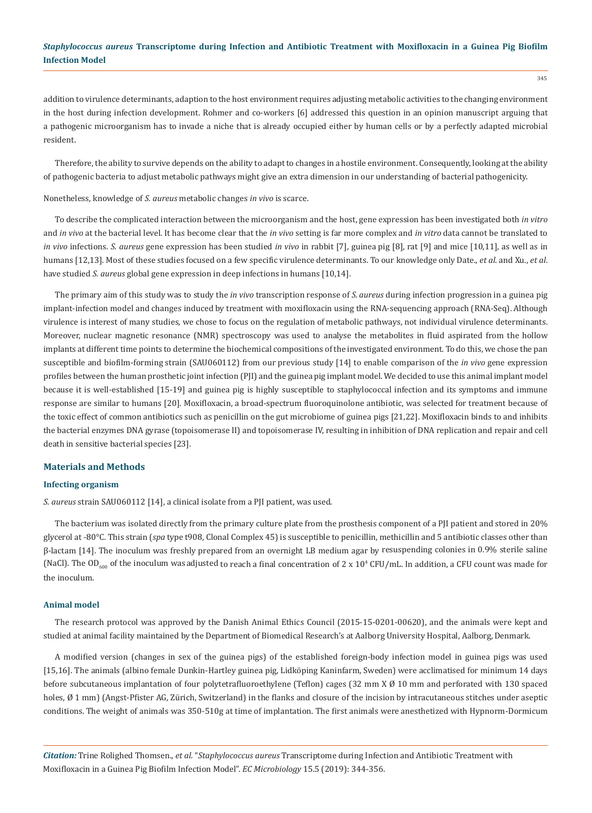addition to virulence determinants, adaption to the host environment requires adjusting metabolic activities to the changing environment in the host during infection development. Rohmer and co-workers [6] addressed this question in an opinion manuscript arguing that a pathogenic microorganism has to invade a niche that is already occupied either by human cells or by a perfectly adapted microbial resident.

Therefore, the ability to survive depends on the ability to adapt to changes in a hostile environment. Consequently, looking at the ability of pathogenic bacteria to adjust metabolic pathways might give an extra dimension in our understanding of bacterial pathogenicity.

Nonetheless, knowledge of *S. aureus* metabolic changes *in vivo* is scarce.

To describe the complicated interaction between the microorganism and the host, gene expression has been investigated both *in vitro*  and *in vivo* at the bacterial level. It has become clear that the *in vivo* setting is far more complex and *in vitro* data cannot be translated to *in vivo* infections. *S. aureus* gene expression has been studied *in vivo* in rabbit [7], guinea pig [8], rat [9] and mice [10,11], as well as in humans [12,13]. Most of these studies focused on a few specific virulence determinants. To our knowledge only Date., *et al*. and Xu., *et al*. have studied *S. aureus* global gene expression in deep infections in humans [10,14].

The primary aim of this study was to study the *in vivo* transcription response of *S. aureus* during infection progression in a guinea pig implant-infection model and changes induced by treatment with moxifloxacin using the RNA-sequencing approach (RNA-Seq). Although virulence is interest of many studies, we chose to focus on the regulation of metabolic pathways, not individual virulence determinants. Moreover, nuclear magnetic resonance (NMR) spectroscopy was used to analyse the metabolites in fluid aspirated from the hollow implants at different time points to determine the biochemical compositions of the investigated environment. To do this, we chose the pan susceptible and biofilm-forming strain (SAU060112) from our previous study [14] to enable comparison of the *in vivo* gene expression profiles between the human prosthetic joint infection (PJI) and the guinea pig implant model. We decided to use this animal implant model because it is well-established [15-19] and guinea pig is highly susceptible to staphylococcal infection and its symptoms and immune response are similar to humans [20]. Moxifloxacin, a broad-spectrum fluoroquinolone antibiotic, was selected for treatment because of the toxic effect of common antibiotics such as penicillin on the gut microbiome of guinea pigs [21,22]. Moxifloxacin binds to and inhibits the bacterial enzymes DNA gyrase (topoisomerase II) and topoisomerase IV, resulting in inhibition of DNA replication and repair and cell death in sensitive bacterial species [23].

#### **Materials and Methods**

#### **Infecting organism**

*S. aureus* strain SAU060112 [14], a clinical isolate from a PJI patient, was used.

The bacterium was isolated directly from the primary culture plate from the prosthesis component of a PJI patient and stored in 20% glycerol at -80°C. This strain (*spa* type t908, Clonal Complex 45) is susceptible to penicillin, methicillin and 5 antibiotic classes other than β-lactam [14]. The inoculum was freshly prepared from an overnight LB medium agar by resuspending colonies in 0.9% sterile saline (NaCl). The OD<sub>600</sub> of the inoculum was adjusted to reach a final concentration of 2 x 10<sup>4</sup> CFU/mL. In addition, a CFU count was made for the inoculum.

#### **Animal model**

The research protocol was approved by the Danish Animal Ethics Council (2015-15-0201-00620), and the animals were kept and studied at animal facility maintained by the Department of Biomedical Research's at Aalborg University Hospital, Aalborg, Denmark.

A modified version (changes in sex of the guinea pigs) of the established foreign-body infection model in guinea pigs was used [15,16]. The animals (albino female Dunkin-Hartley guinea pig, Lidköping Kaninfarm, Sweden) were acclimatised for minimum 14 days before subcutaneous implantation of four polytetrafluoroethylene (Teflon) cages (32 mm X Ø 10 mm and perforated with 130 spaced holes, Ø 1 mm) (Angst-Pfister AG, Zürich, Switzerland) in the flanks and closure of the incision by intracutaneous stitches under aseptic conditions. The weight of animals was 350-510g at time of implantation. The first animals were anesthetized with Hypnorm-Dormicum

*Citation:* Trine Rolighed Thomsen., *et al*. "*Staphylococcus aureus* Transcriptome during Infection and Antibiotic Treatment with Moxifloxacin in a Guinea Pig Biofilm Infection Model". *EC Microbiology* 15.5 (2019): 344-356.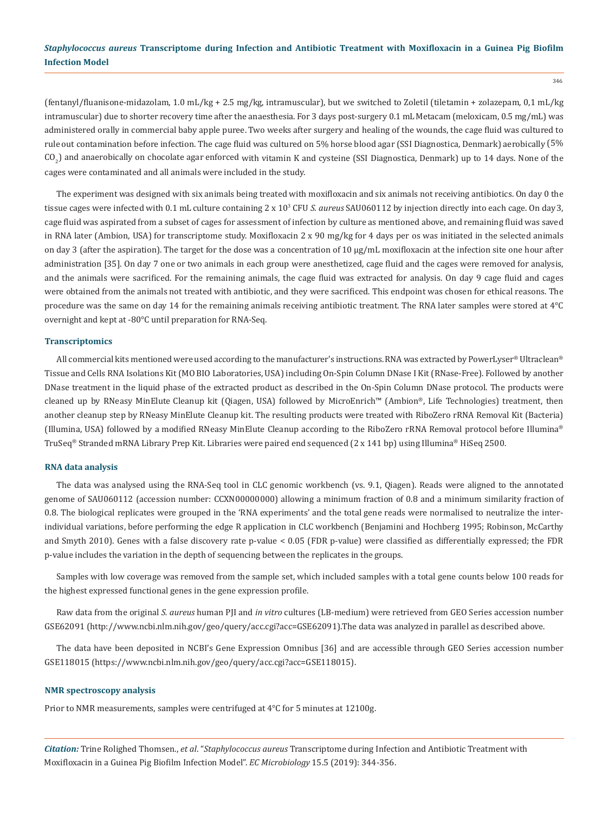(fentanyl/fluanisone-midazolam, 1.0 mL/kg + 2.5 mg/kg, intramuscular), but we switched to Zoletil (tiletamin + zolazepam, 0,1 mL/kg intramuscular) due to shorter recovery time after the anaesthesia. For 3 days post-surgery 0.1 mL Metacam (meloxicam, 0.5 mg/mL) was administered orally in commercial baby apple puree. Two weeks after surgery and healing of the wounds, the cage fluid was cultured to rule out contamination before infection. The cage fluid was cultured on 5% horse blood agar (SSI Diagnostica, Denmark) aerobically (5% CO<sub>2</sub>) and anaerobically on chocolate agar enforced with vitamin K and cysteine (SSI Diagnostica, Denmark) up to 14 days. None of the cages were contaminated and all animals were included in the study.

The experiment was designed with six animals being treated with moxifloxacin and six animals not receiving antibiotics. On day 0 the tissue cages were infected with 0.1 mL culture containing 2 x 103 CFU *S. aureus* SAU060112 by injection directly into each cage. On day 3, cage fluid was aspirated from a subset of cages for assessment of infection by culture as mentioned above, and remaining fluid was saved in RNA later (Ambion, USA) for transcriptome study. Moxifloxacin 2 x 90 mg/kg for 4 days per os was initiated in the selected animals on day 3 (after the aspiration). The target for the dose was a concentration of 10 μg/mL moxifloxacin at the infection site one hour after administration [35]. On day 7 one or two animals in each group were anesthetized, cage fluid and the cages were removed for analysis, and the animals were sacrificed. For the remaining animals, the cage fluid was extracted for analysis. On day 9 cage fluid and cages were obtained from the animals not treated with antibiotic, and they were sacrificed. This endpoint was chosen for ethical reasons. The procedure was the same on day 14 for the remaining animals receiving antibiotic treatment. The RNA later samples were stored at 4°C overnight and kept at -80°C until preparation for RNA-Seq.

#### **Transcriptomics**

All commercial kits mentioned were used according to the manufacturer's instructions. RNA was extracted by PowerLyser® Ultraclean® Tissue and Cells RNA Isolations Kit (MO BIO Laboratories, USA) including On-Spin Column DNase I Kit (RNase-Free). Followed by another DNase treatment in the liquid phase of the extracted product as described in the On-Spin Column DNase protocol. The products were cleaned up by RNeasy MinElute Cleanup kit (Qiagen, USA) followed by MicroEnrich™ (Ambion®, Life Technologies) treatment, then another cleanup step by RNeasy MinElute Cleanup kit. The resulting products were treated with RiboZero rRNA Removal Kit (Bacteria) (Illumina, USA) followed by a modified RNeasy MinElute Cleanup according to the RiboZero rRNA Removal protocol before Illumina® TruSeq® Stranded mRNA Library Prep Kit. Libraries were paired end sequenced (2 x 141 bp) using Illumina® HiSeq 2500.

#### **RNA data analysis**

The data was analysed using the RNA-Seq tool in CLC genomic workbench (vs. 9.1, Qiagen). Reads were aligned to the annotated genome of SAU060112 (accession number: CCXN00000000) allowing a minimum fraction of 0.8 and a minimum similarity fraction of 0.8. The biological replicates were grouped in the 'RNA experiments' and the total gene reads were normalised to neutralize the interindividual variations, before performing the edge R application in CLC workbench (Benjamini and Hochberg 1995; Robinson, McCarthy and Smyth 2010). Genes with a false discovery rate p-value < 0.05 (FDR p-value) were classified as differentially expressed; the FDR p-value includes the variation in the depth of sequencing between the replicates in the groups.

Samples with low coverage was removed from the sample set, which included samples with a total gene counts below 100 reads for the highest expressed functional genes in the gene expression profile.

Raw data from the original *S. aureus* human PJI and *in vitro* cultures (LB-medium) were retrieved from GEO Series accession number GSE62091 (http://[www.ncbi.nlm.nih.gov/geo/query/acc.cgi?acc=GSE62091\).The](http://www.ncbi.nlm.nih.gov/geo/query/acc.cgi?acc=GSE62091).The) data was analyzed in parallel as described above.

The data have been deposited in NCBI's Gene Expression Omnibus [36] and are accessible through GEO Series accession number GSE118015 (https://[www.ncbi.nlm.nih.gov/geo/query/acc.cgi?acc=GSE118015\)](http://www.ncbi.nlm.nih.gov/geo/query/acc.cgi?acc=GSE118015)).

#### **NMR spectroscopy analysis**

Prior to NMR measurements, samples were centrifuged at 4°C for 5 minutes at 12100g.

*Citation:* Trine Rolighed Thomsen., *et al*. "*Staphylococcus aureus* Transcriptome during Infection and Antibiotic Treatment with Moxifloxacin in a Guinea Pig Biofilm Infection Model". *EC Microbiology* 15.5 (2019): 344-356.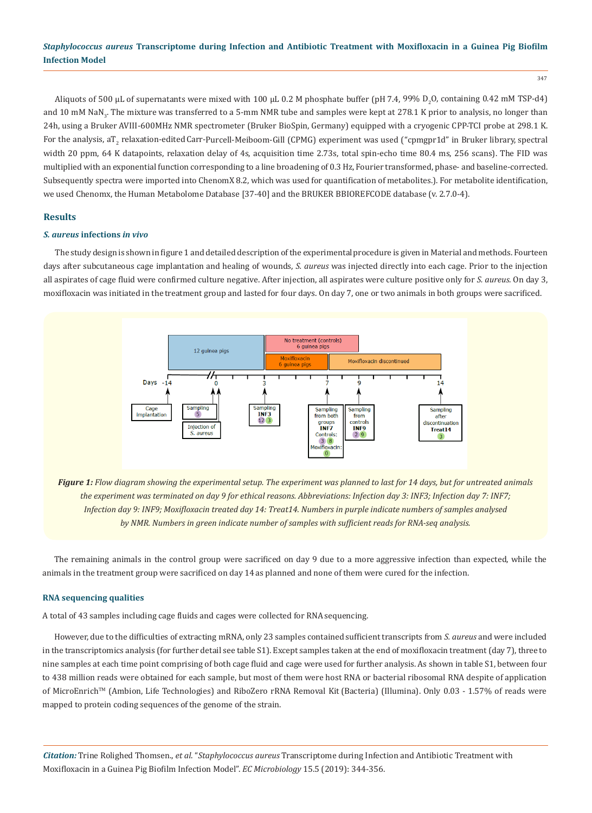347

Aliquots of 500 μL of supernatants were mixed with 100 μL 0.2 M phosphate buffer (pH 7.4, 99% D<sub>2</sub>O, containing 0.42 mM TSP-d4) and 10 mM NaN<sub>3</sub>. The mixture was transferred to a 5-mm NMR tube and samples were kept at 278.1 K prior to analysis, no longer than 24h, using a Bruker AVIII-600MHz NMR spectrometer (Bruker BioSpin, Germany) equipped with a cryogenic CPP-TCI probe at 298.1 K. For the analysis,  $aT<sub>2</sub>$  relaxation-edited Carr-Purcell-Meiboom-Gill (CPMG) experiment was used ("cpmgpr1d" in Bruker library, spectral width 20 ppm, 64 K datapoints, relaxation delay of 4s, acquisition time 2.73s, total spin-echo time 80.4 ms, 256 scans). The FID was multiplied with an exponential function corresponding to a line broadening of 0.3 Hz, Fourier transformed, phase- and baseline-corrected. Subsequently spectra were imported into ChenomX 8.2, which was used for quantification of metabolites.). For metabolite identification, we used Chenomx, the Human Metabolome Database [37-40] and the BRUKER BBIOREFCODE database (v. 2.7.0-4).

## **Results**

#### *S. aureus* **infections** *in vivo*

The study design is shown in figure 1 and detailed description of the experimental procedure is given in Material and methods. Fourteen days after subcutaneous cage implantation and healing of wounds, *S. aureus* was injected directly into each cage. Prior to the injection all aspirates of cage fluid were confirmed culture negative. After injection, all aspirates were culture positive only for *S. aureus.* On day 3, moxifloxacin was initiated in the treatment group and lasted for four days. On day 7, one or two animals in both groups were sacrificed.



*Figure 1: Flow diagram showing the experimental setup. The experiment was planned to last for 14 days, but for untreated animals the experiment was terminated on day 9 for ethical reasons. Abbreviations: Infection day 3: INF3; Infection day 7: INF7; Infection day 9: INF9; Moxifloxacin treated day 14: Treat14. Numbers in purple indicate numbers of samples analysed by NMR. Numbers in green indicate number of samples with sufficient reads for RNA-seq analysis.*

The remaining animals in the control group were sacrificed on day 9 due to a more aggressive infection than expected, while the animals in the treatment group were sacrificed on day 14 as planned and none of them were cured for the infection.

#### **RNA sequencing qualities**

A total of 43 samples including cage fluids and cages were collected for RNA sequencing.

However, due to the difficulties of extracting mRNA, only 23 samples contained sufficient transcripts from *S. aureus* and were included in the transcriptomics analysis (for further detail see table S1). Except samples taken at the end of moxifloxacin treatment (day 7), three to nine samples at each time point comprising of both cage fluid and cage were used for further analysis. As shown in table S1, between four to 438 million reads were obtained for each sample, but most of them were host RNA or bacterial ribosomal RNA despite of application of MicroEnrich™ (Ambion, Life Technologies) and RiboZero rRNA Removal Kit (Bacteria) (Illumina). Only 0.03 - 1.57% of reads were mapped to protein coding sequences of the genome of the strain.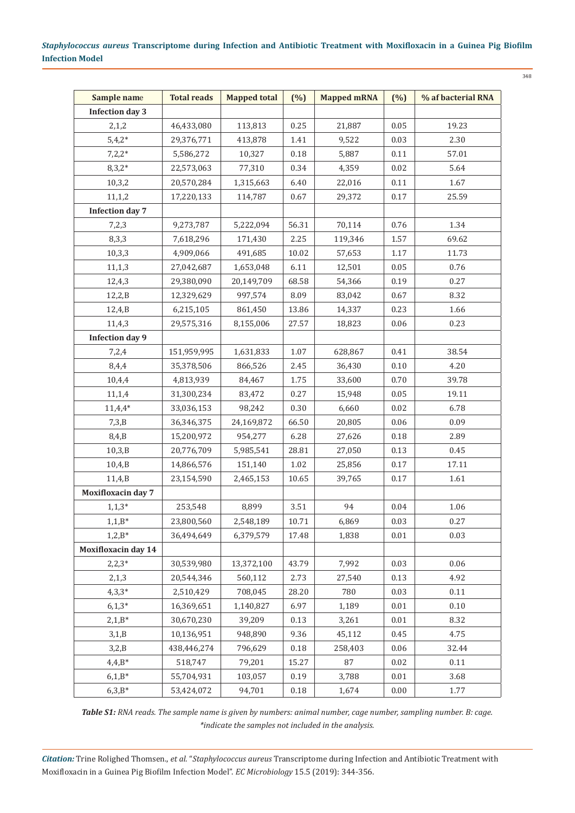| Sample name                | <b>Total reads</b> | <b>Mapped total</b> | $(\%)$   | <b>Mapped mRNA</b> | (%)      | % af bacterial RNA |
|----------------------------|--------------------|---------------------|----------|--------------------|----------|--------------------|
| <b>Infection day 3</b>     |                    |                     |          |                    |          |                    |
| 2,1,2                      | 46,433,080         | 113,813             | 0.25     | 21,887             | 0.05     | 19.23              |
| $5,4,2*$                   | 29,376,771         | 413,878             | 1.41     | 9,522              | 0.03     | 2.30               |
| $7,2,2*$                   | 5,586,272          | 10,327              | 0.18     | 5,887              | 0.11     | 57.01              |
| $8,3,2*$                   | 22,573,063         | 77,310              | 0.34     | 4,359              | 0.02     | 5.64               |
| 10,3,2                     | 20,570,284         | 1,315,663           | 6.40     | 22,016             | 0.11     | 1.67               |
| 11,1,2                     | 17,220,133         | 114,787             | 0.67     | 29,372             | 0.17     | 25.59              |
| <b>Infection day 7</b>     |                    |                     |          |                    |          |                    |
| 7,2,3                      | 9,273,787          | 5,222,094           | 56.31    | 70,114             | 0.76     | 1.34               |
| 8,3,3                      | 7,618,296          | 171,430             | 2.25     | 119,346            | 1.57     | 69.62              |
| 10,3,3                     | 4,909,066          | 491,685             | 10.02    | 57,653             | 1.17     | 11.73              |
| 11, 1, 3                   | 27,042,687         | 1,653,048           | 6.11     | 12,501             | 0.05     | 0.76               |
| 12,4,3                     | 29,380,090         | 20,149,709          | 68.58    | 54,366             | 0.19     | 0.27               |
| 12,2,B                     | 12,329,629         | 997,574             | 8.09     | 83,042             | 0.67     | 8.32               |
| 12,4,B                     | 6,215,105          | 861,450             | 13.86    | 14,337             | 0.23     | 1.66               |
| 11,4,3                     | 29,575,316         | 8,155,006           | 27.57    | 18,823             | 0.06     | 0.23               |
| <b>Infection day 9</b>     |                    |                     |          |                    |          |                    |
| 7,2,4                      | 151,959,995        | 1,631,833           | 1.07     | 628,867            | 0.41     | 38.54              |
| 8,4,4                      | 35,378,506         | 866,526             | 2.45     | 36,430             | $0.10\,$ | 4.20               |
| 10,4,4                     | 4,813,939          | 84,467              | 1.75     | 33,600             | 0.70     | 39.78              |
| 11,1,4                     | 31,300,234         | 83,472              | 0.27     | 15,948             | 0.05     | 19.11              |
| $11,4,4*$                  | 33,036,153         | 98,242              | 0.30     | 6,660              | 0.02     | 6.78               |
| 7,3,B                      | 36,346,375         | 24,169,872          | 66.50    | 20,805             | 0.06     | 0.09               |
| 8,4,B                      | 15,200,972         | 954,277             | 6.28     | 27,626             | $0.18\,$ | 2.89               |
| 10,3,B                     | 20,776,709         | 5,985,541           | 28.81    | 27,050             | 0.13     | 0.45               |
| 10,4,B                     | 14,866,576         | 151,140             | 1.02     | 25,856             | 0.17     | 17.11              |
| 11,4,B                     | 23,154,590         | 2,465,153           | 10.65    | 39,765             | 0.17     | 1.61               |
| <b>Moxifloxacin day 7</b>  |                    |                     |          |                    |          |                    |
| $1, 1, 3*$                 | 253,548            | 8,899               | $3.51\,$ | 94                 | $0.04\,$ | 1.06               |
| $1,1,B^*$                  | 23,800,560         | 2,548,189           | 10.71    | 6,869              | 0.03     | 0.27               |
| $1,2,B^*$                  | 36,494,649         | 6,379,579           | 17.48    | 1,838              | $0.01\,$ | 0.03               |
| <b>Moxifloxacin day 14</b> |                    |                     |          |                    |          |                    |
| $2,2,3*$                   | 30,539,980         | 13,372,100          | 43.79    | 7,992              | 0.03     | 0.06               |
| 2,1,3                      | 20,544,346         | 560,112             | 2.73     | 27,540             | 0.13     | 4.92               |
| $4,3,3*$                   | 2,510,429          | 708,045             | 28.20    | 780                | 0.03     | 0.11               |
| $6,1,3*$                   | 16,369,651         | 1,140,827           | 6.97     | 1,189              | 0.01     | 0.10               |
| $2,1,B*$                   | 30,670,230         | 39,209              | 0.13     | 3,261              | 0.01     | 8.32               |
| 3,1,B                      | 10,136,951         | 948,890             | 9.36     | 45,112             | 0.45     | 4.75               |
| 3,2,B                      | 438,446,274        | 796,629             | 0.18     | 258,403            | 0.06     | 32.44              |
| $4,4,B*$                   | 518,747            | 79,201              | 15.27    | 87                 | 0.02     | 0.11               |
| $6,1,B*$                   | 55,704,931         | 103,057             | 0.19     | 3,788              | $0.01\,$ | 3.68               |
| $6,3,B*$                   | 53,424,072         | 94,701              | 0.18     | 1,674              | 0.00     | 1.77               |

*Table S1: RNA reads. The sample name is given by numbers: animal number, cage number, sampling number. B: cage. \*indicate the samples not included in the analysis.*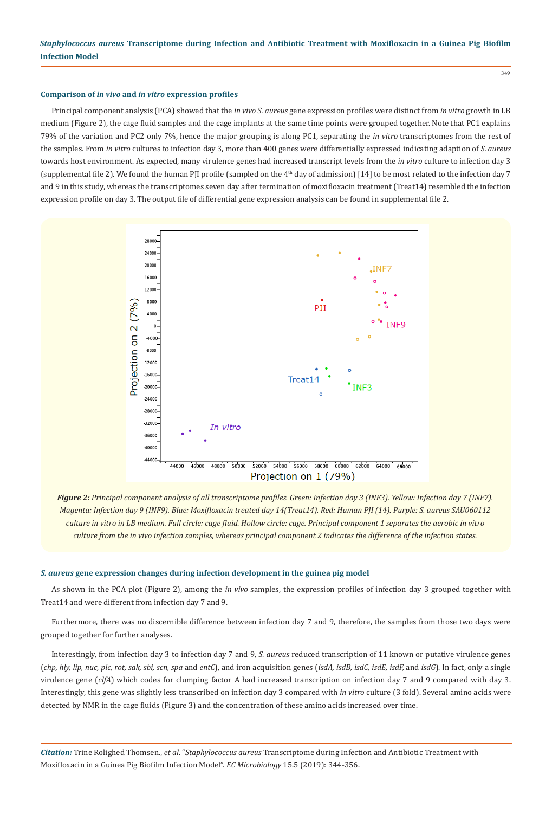#### **Comparison of** *in vivo* **and** *in vitro* **expression profiles**

Principal component analysis (PCA) showed that the *in vivo S. aureus* gene expression profiles were distinct from *in vitro* growth in LB medium (Figure 2), the cage fluid samples and the cage implants at the same time points were grouped together. Note that PC1 explains 79% of the variation and PC2 only 7%, hence the major grouping is along PC1, separating the *in vitro* transcriptomes from the rest of the samples. From *in vitro* cultures to infection day 3, more than 400 genes were differentially expressed indicating adaption of *S. aureus*  towards host environment. As expected, many virulence genes had increased transcript levels from the *in vitro* culture to infection day 3 (supplemental file 2). We found the human PJI profile (sampled on the 4th day of admission) [14] to be most related to the infection day 7 and 9 in this study, whereas the transcriptomes seven day after termination of moxifloxacin treatment (Treat14) resembled the infection expression profile on day 3. The output file of differential gene expression analysis can be found in supplemental file 2.



*Figure 2: Principal component analysis of all transcriptome profiles. Green: Infection day 3 (INF3). Yellow: Infection day 7 (INF7). Magenta: Infection day 9 (INF9). Blue: Moxifloxacin treated day 14(Treat14). Red: Human PJI (14). Purple: S. aureus SAU060112 culture in vitro in LB medium. Full circle: cage fluid. Hollow circle: cage. Principal component 1 separates the aerobic in vitro culture from the in vivo infection samples, whereas principal component 2 indicates the difference of the infection states.*

#### *S. aureus* **gene expression changes during infection development in the guinea pig model**

As shown in the PCA plot (Figure 2), among the *in vivo* samples, the expression profiles of infection day 3 grouped together with Treat14 and were different from infection day 7 and 9.

Furthermore, there was no discernible difference between infection day 7 and 9, therefore, the samples from those two days were grouped together for further analyses.

Interestingly, from infection day 3 to infection day 7 and 9, *S. aureus* reduced transcription of 11 known or putative virulence genes (*chp, hly, lip, nuc, plc, rot, sak, sbi, scn, spa* and *entC*), and iron acquisition genes (*isdA, isdB, isdC, isdE, isdF,* and *isdG*). In fact, only a single virulence gene (*clfA*) which codes for clumping factor A had increased transcription on infection day 7 and 9 compared with day 3. Interestingly, this gene was slightly less transcribed on infection day 3 compared with *in vitro* culture (3 fold). Several amino acids were detected by NMR in the cage fluids (Figure 3) and the concentration of these amino acids increased over time.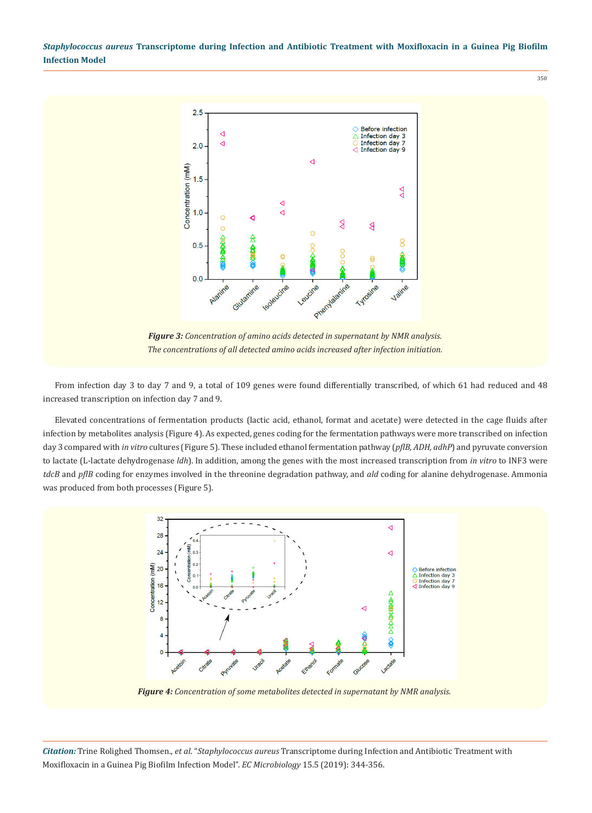

*Figure 3: Concentration of amino acids detected in supernatant by NMR analysis. The concentrations of all detected amino acids increased after infection initiation.*

From infection day 3 to day 7 and 9, a total of 109 genes were found differentially transcribed, of which 61 had reduced and 48 increased transcription on infection day 7 and 9.

Elevated concentrations of fermentation products (lactic acid, ethanol, format and acetate) were detected in the cage fluids after infection by metabolites analysis (Figure 4). As expected, genes coding for the fermentation pathways were more transcribed on infection day 3 compared with *in vitro* cultures (Figure 5). These included ethanol fermentation pathway (*pflB, ADH, adhP*) and pyruvate conversion to lactate (L-lactate dehydrogenase *ldh*). In addition, among the genes with the most increased transcription from *in vitro* to INF3 were *tdcB* and *pflB* coding for enzymes involved in the threonine degradation pathway, and *ald* coding for alanine dehydrogenase. Ammonia was produced from both processes (Figure 5).



*Figure 4: Concentration of some metabolites detected in supernatant by NMR analysis.*

*Citation:* Trine Rolighed Thomsen., *et al*. "*Staphylococcus aureus* Transcriptome during Infection and Antibiotic Treatment with Moxifloxacin in a Guinea Pig Biofilm Infection Model". *EC Microbiology* 15.5 (2019): 344-356.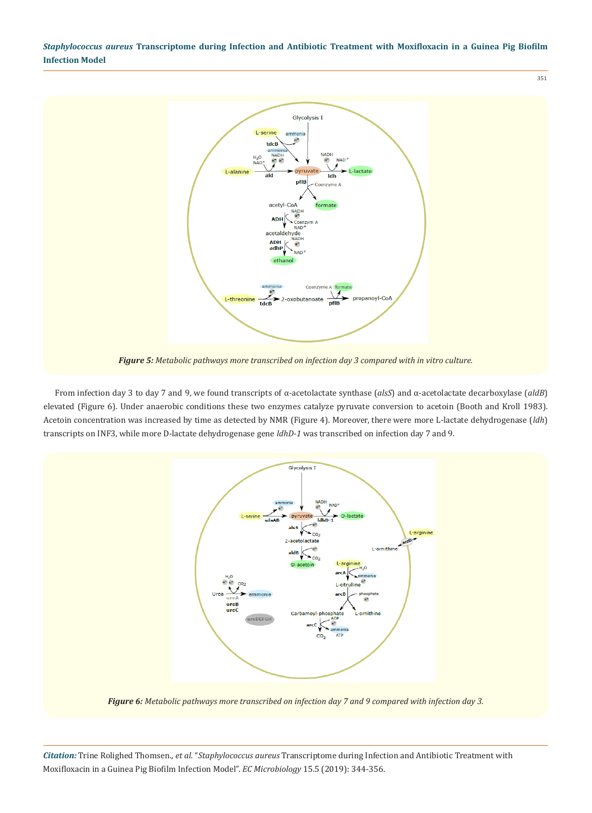

From infection day 3 to day 7 and 9, we found transcripts of α-acetolactate synthase (*alsS*) and α-acetolactate decarboxylase (*aldB*) elevated (Figure 6). Under anaerobic conditions these two enzymes catalyze pyruvate conversion to acetoin (Booth and Kroll 1983). Acetoin concentration was increased by time as detected by NMR (Figure 4). Moreover, there were more L-lactate dehydrogenase (*ldh*) transcripts on INF3, while more D-lactate dehydrogenase gene *ldhD-1* was transcribed on infection day 7 and 9.



*Figure 6: Metabolic pathways more transcribed on infection day 7 and 9 compared with infection day 3.*

*Citation:* Trine Rolighed Thomsen., *et al*. "*Staphylococcus aureus* Transcriptome during Infection and Antibiotic Treatment with Moxifloxacin in a Guinea Pig Biofilm Infection Model". *EC Microbiology* 15.5 (2019): 344-356.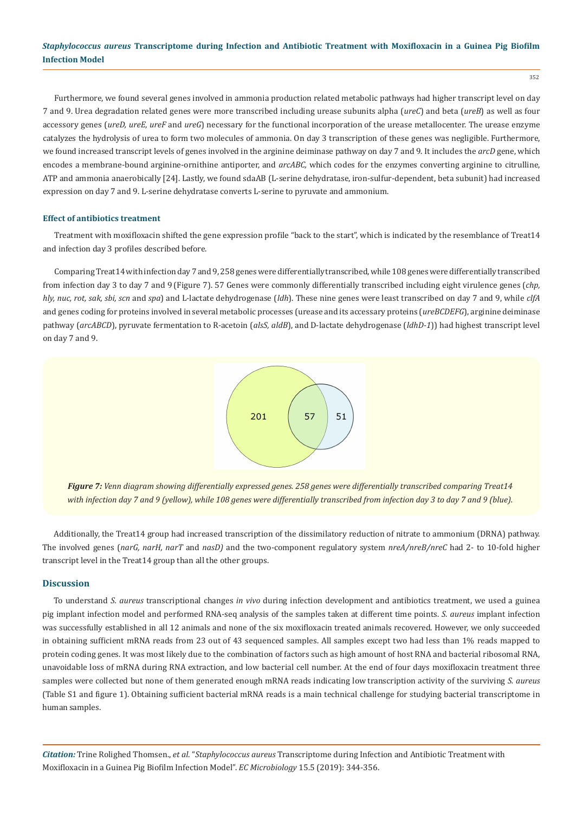Furthermore, we found several genes involved in ammonia production related metabolic pathways had higher transcript level on day 7 and 9. Urea degradation related genes were more transcribed including urease subunits alpha (*ureC*) and beta (*ureB*) as well as four accessory genes (*ureD, ureE, ureF* and *ureG*) necessary for the functional incorporation of the urease metallocenter. The urease enzyme catalyzes the hydrolysis of urea to form two molecules of ammonia. On day 3 transcription of these genes was negligible. Furthermore, we found increased transcript levels of genes involved in the arginine deiminase pathway on day 7 and 9. It includes the *arcD* gene, which encodes a membrane-bound arginine-ornithine antiporter, and *arcABC,* which codes for the enzymes converting arginine to citrulline, ATP and ammonia anaerobically [24]. Lastly, we found sdaAB (L-serine dehydratase, iron-sulfur-dependent, beta subunit) had increased expression on day 7 and 9. L-serine dehydratase converts L-serine to pyruvate and ammonium.

#### **Effect of antibiotics treatment**

Treatment with moxifloxacin shifted the gene expression profile "back to the start", which is indicated by the resemblance of Treat14 and infection day 3 profiles described before.

Comparing Treat14 with infection day 7 and 9, 258 genes were differentially transcribed, while 108 genes were differentially transcribed from infection day 3 to day 7 and 9 (Figure 7). 57 Genes were commonly differentially transcribed including eight virulence genes (*chp, hly, nuc, rot, sak, sbi, scn* and *spa*) and L-lactate dehydrogenase (*ldh*). These nine genes were least transcribed on day 7 and 9, while *clfA*  and genes coding for proteins involved in several metabolic processes (urease and its accessary proteins (*ureBCDEFG*), arginine deiminase pathway (*arcABCD*), pyruvate fermentation to R-acetoin (*alsS, aldB*), and D-lactate dehydrogenase (*ldhD-1*)) had highest transcript level on day 7 and 9.



*Figure 7: Venn diagram showing differentially expressed genes. 258 genes were differentially transcribed comparing Treat14 with infection day 7 and 9 (yellow), while 108 genes were differentially transcribed from infection day 3 to day 7 and 9 (blue).*

Additionally, the Treat14 group had increased transcription of the dissimilatory reduction of nitrate to ammonium (DRNA) pathway. The involved genes (*narG, narH, narT* and *nasD)* and the two-component regulatory system *nreA/nreB/nreC* had 2- to 10-fold higher transcript level in the Treat14 group than all the other groups.

#### **Discussion**

To understand *S. aureus* transcriptional changes *in vivo* during infection development and antibiotics treatment, we used a guinea pig implant infection model and performed RNA-seq analysis of the samples taken at different time points. *S. aureus* implant infection was successfully established in all 12 animals and none of the six moxifloxacin treated animals recovered. However, we only succeeded in obtaining sufficient mRNA reads from 23 out of 43 sequenced samples. All samples except two had less than 1% reads mapped to protein coding genes. It was most likely due to the combination of factors such as high amount of host RNA and bacterial ribosomal RNA, unavoidable loss of mRNA during RNA extraction, and low bacterial cell number. At the end of four days moxifloxacin treatment three samples were collected but none of them generated enough mRNA reads indicating low transcription activity of the surviving *S. aureus*  (Table S1 and figure 1). Obtaining sufficient bacterial mRNA reads is a main technical challenge for studying bacterial transcriptome in human samples.

*Citation:* Trine Rolighed Thomsen., *et al*. "*Staphylococcus aureus* Transcriptome during Infection and Antibiotic Treatment with Moxifloxacin in a Guinea Pig Biofilm Infection Model". *EC Microbiology* 15.5 (2019): 344-356.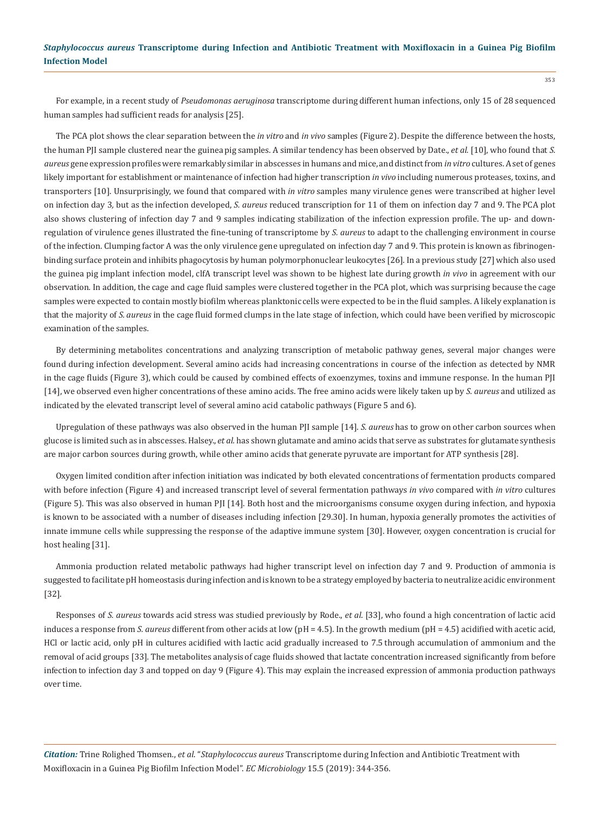For example, in a recent study of *Pseudomonas aeruginosa* transcriptome during different human infections, only 15 of 28 sequenced human samples had sufficient reads for analysis [25].

The PCA plot shows the clear separation between the *in vitro* and *in vivo* samples (Figure 2). Despite the difference between the hosts, the human PJI sample clustered near the guinea pig samples. A similar tendency has been observed by Date., *et al.* [10], who found that *S. aureus* gene expression profiles were remarkably similar in abscesses in humans and mice, and distinct from *in vitro* cultures. A set of genes likely important for establishment or maintenance of infection had higher transcription *in vivo* including numerous proteases, toxins, and transporters [10]. Unsurprisingly, we found that compared with *in vitro* samples many virulence genes were transcribed at higher level on infection day 3*,* but as the infection developed, *S. aureus* reduced transcription for 11 of them on infection day 7 and 9. The PCA plot also shows clustering of infection day 7 and 9 samples indicating stabilization of the infection expression profile. The up- and downregulation of virulence genes illustrated the fine-tuning of transcriptome by *S. aureus* to adapt to the challenging environment in course of the infection. Clumping factor A was the only virulence gene upregulated on infection day 7 and 9. This protein is known as fibrinogenbinding surface protein and inhibits phagocytosis by human polymorphonuclear leukocytes [26]. In a previous study [27] which also used the guinea pig implant infection model, clfA transcript level was shown to be highest late during growth *in vivo* in agreement with our observation*.* In addition, the cage and cage fluid samples were clustered together in the PCA plot, which was surprising because the cage samples were expected to contain mostly biofilm whereas planktonic cells were expected to be in the fluid samples. A likely explanation is that the majority of *S. aureus* in the cage fluid formed clumps in the late stage of infection, which could have been verified by microscopic examination of the samples.

By determining metabolites concentrations and analyzing transcription of metabolic pathway genes, several major changes were found during infection development. Several amino acids had increasing concentrations in course of the infection as detected by NMR in the cage fluids (Figure 3), which could be caused by combined effects of exoenzymes, toxins and immune response. In the human PJI [14], we observed even higher concentrations of these amino acids. The free amino acids were likely taken up by *S. aureus* and utilized as indicated by the elevated transcript level of several amino acid catabolic pathways (Figure 5 and 6).

Upregulation of these pathways was also observed in the human PJI sample [14]. *S. aureus* has to grow on other carbon sources when glucose is limited such as in abscesses. Halsey., *et al.* has shown glutamate and amino acids that serve as substrates for glutamate synthesis are major carbon sources during growth, while other amino acids that generate pyruvate are important for ATP synthesis [28].

Oxygen limited condition after infection initiation was indicated by both elevated concentrations of fermentation products compared with before infection (Figure 4) and increased transcript level of several fermentation pathways *in vivo* compared with *in vitro* cultures (Figure 5). This was also observed in human PJI [14]. Both host and the microorganisms consume oxygen during infection, and hypoxia is known to be associated with a number of diseases including infection [29.30]. In human, hypoxia generally promotes the activities of innate immune cells while suppressing the response of the adaptive immune system [30]. However, oxygen concentration is crucial for host healing [31].

Ammonia production related metabolic pathways had higher transcript level on infection day 7 and 9. Production of ammonia is suggested to facilitate pH homeostasis during infection and is known to be a strategy employed by bacteria to neutralize acidic environment [32].

Responses of *S. aureus* towards acid stress was studied previously by Rode., *et al*. [33], who found a high concentration of lactic acid induces a response from *S. aureus* different from other acids at low (pH = 4.5). In the growth medium (pH = 4.5) acidified with acetic acid, HCl or lactic acid, only pH in cultures acidified with lactic acid gradually increased to 7.5 through accumulation of ammonium and the removal of acid groups [33]. The metabolites analysis of cage fluids showed that lactate concentration increased significantly from before infection to infection day 3 and topped on day 9 (Figure 4). This may explain the increased expression of ammonia production pathways over time.

*Citation:* Trine Rolighed Thomsen., *et al*. "*Staphylococcus aureus* Transcriptome during Infection and Antibiotic Treatment with Moxifloxacin in a Guinea Pig Biofilm Infection Model". *EC Microbiology* 15.5 (2019): 344-356.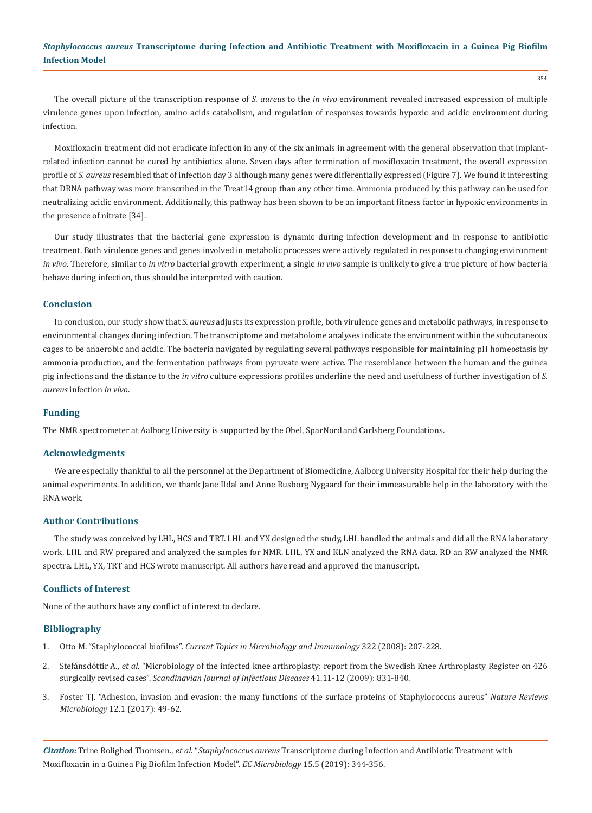354

The overall picture of the transcription response of *S. aureus* to the *in vivo* environment revealed increased expression of multiple virulence genes upon infection, amino acids catabolism, and regulation of responses towards hypoxic and acidic environment during infection.

Moxifloxacin treatment did not eradicate infection in any of the six animals in agreement with the general observation that implantrelated infection cannot be cured by antibiotics alone. Seven days after termination of moxifloxacin treatment, the overall expression profile of *S. aureus* resembled that of infection day 3 although many genes were differentially expressed (Figure 7). We found it interesting that DRNA pathway was more transcribed in the Treat14 group than any other time. Ammonia produced by this pathway can be used for neutralizing acidic environment. Additionally, this pathway has been shown to be an important fitness factor in hypoxic environments in the presence of nitrate [34].

Our study illustrates that the bacterial gene expression is dynamic during infection development and in response to antibiotic treatment. Both virulence genes and genes involved in metabolic processes were actively regulated in response to changing environment *in vivo*. Therefore, similar to *in vitro* bacterial growth experiment, a single *in vivo* sample is unlikely to give a true picture of how bacteria behave during infection, thus should be interpreted with caution.

#### **Conclusion**

In conclusion, our study show that *S. aureus* adjusts its expression profile, both virulence genes and metabolic pathways, in response to environmental changes during infection. The transcriptome and metabolome analyses indicate the environment within the subcutaneous cages to be anaerobic and acidic. The bacteria navigated by regulating several pathways responsible for maintaining pH homeostasis by ammonia production, and the fermentation pathways from pyruvate were active. The resemblance between the human and the guinea pig infections and the distance to the *in vitro* culture expressions profiles underline the need and usefulness of further investigation of *S. aureus* infection *in vivo*.

#### **Funding**

The NMR spectrometer at Aalborg University is supported by the Obel, SparNord and Carlsberg Foundations.

#### **Acknowledgments**

We are especially thankful to all the personnel at the Department of Biomedicine, Aalborg University Hospital for their help during the animal experiments. In addition, we thank Jane Ildal and Anne Rusborg Nygaard for their immeasurable help in the laboratory with the RNA work.

#### **Author Contributions**

The study was conceived by LHL, HCS and TRT. LHL and YX designed the study, LHL handled the animals and did all the RNA laboratory work. LHL and RW prepared and analyzed the samples for NMR. LHL, YX and KLN analyzed the RNA data. RD an RW analyzed the NMR spectra. LHL, YX, TRT and HCS wrote manuscript. All authors have read and approved the manuscript.

### **Conflicts of Interest**

None of the authors have any conflict of interest to declare.

#### **Bibliography**

- 1. Otto M. "Staphylococcal biofilms". *[Current Topics in Microbiology and Immunology](https://www.ncbi.nlm.nih.gov/pubmed/18453278)* 322 (2008): 207-228.
- 2. Stefánsdóttir A., *et al*[. "Microbiology of the infected knee arthroplasty: report from the Swedish Knee Arthroplasty Register on 426](https://www.ncbi.nlm.nih.gov/pubmed/19922065)  surgically revised cases". *[Scandinavian Journal of Infectious Diseases](https://www.ncbi.nlm.nih.gov/pubmed/19922065)* 41.11-12 (2009): 831-840.
- 3. [Foster TJ. "Adhesion, invasion and evasion: the many functions of the surface proteins of Staphylococcus aureus"](https://www.ncbi.nlm.nih.gov/pubmed/24336184) *Nature Reviews Microbiology* [12.1 \(2017\): 49-62.](https://www.ncbi.nlm.nih.gov/pubmed/24336184)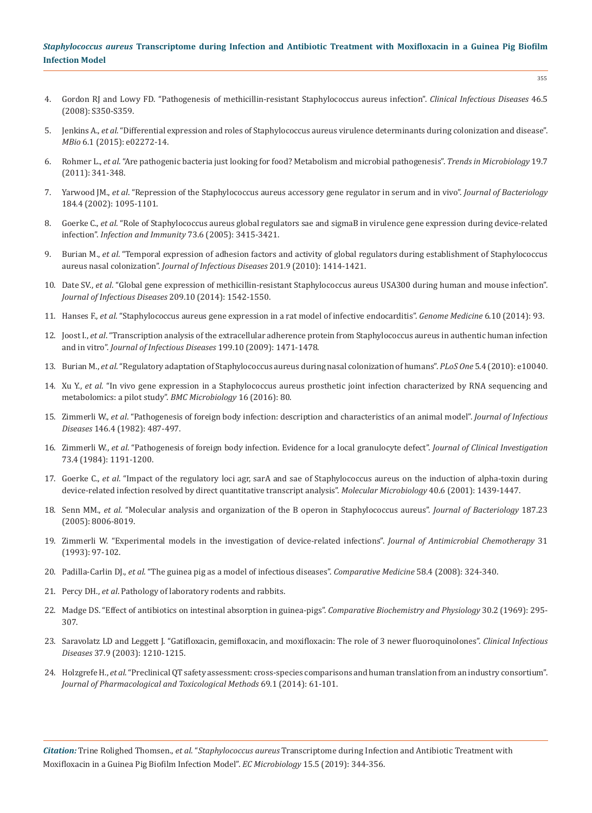- 4. [Gordon RJ and Lowy FD. "Pathogenesis of methicillin-resistant Staphylococcus aureus infection".](https://www.ncbi.nlm.nih.gov/pmc/articles/PMC2474459/) *Clinical Infectious Diseases* 46.5 [\(2008\): S350-S359.](https://www.ncbi.nlm.nih.gov/pmc/articles/PMC2474459/)
- 5. Jenkins A., *et al*[. "Differential expression and roles of Staphylococcus aureus virulence determinants during colonization and disease".](https://www.ncbi.nlm.nih.gov/pmc/articles/PMC4337569/)  *MBio* [6.1 \(2015\): e02272-14.](https://www.ncbi.nlm.nih.gov/pmc/articles/PMC4337569/)
- 6. Rohmer L., *et al*[. "Are pathogenic bacteria just looking for food? Metabolism and microbial pathogenesis".](https://www.ncbi.nlm.nih.gov/pubmed/21600774) *Trends in Microbiology* 19.7 [\(2011\): 341-348.](https://www.ncbi.nlm.nih.gov/pubmed/21600774)
- 7. Yarwood JM., *et al*[. "Repression of the Staphylococcus aureus accessory gene regulator in serum and in vivo".](https://www.ncbi.nlm.nih.gov/pubmed/11807070) *Journal of Bacteriology*  [184.4 \(2002\): 1095-1101.](https://www.ncbi.nlm.nih.gov/pubmed/11807070)
- 8. Goerke C., *et al*[. "Role of Staphylococcus aureus global regulators sae and sigmaB in virulence gene expression during device-related](https://www.ncbi.nlm.nih.gov/pubmed/15908369)  infection". *[Infection and Immunity](https://www.ncbi.nlm.nih.gov/pubmed/15908369)* 73.6 (2005): 3415-3421.
- 9. Burian M., *et al*[. "Temporal expression of adhesion factors and activity of global regulators during establishment of Staphylococcus](https://www.ncbi.nlm.nih.gov/pubmed/20307206)  aureus nasal colonization". *[Journal of Infectious Diseases](https://www.ncbi.nlm.nih.gov/pubmed/20307206)* 201.9 (2010): 1414-1421.
- 10. Date SV., *et al*[. "Global gene expression of methicillin-resistant Staphylococcus aureus USA300 during human and mouse infection".](https://www.ncbi.nlm.nih.gov/pubmed/24286981)  *[Journal of Infectious Diseases](https://www.ncbi.nlm.nih.gov/pubmed/24286981)* 209.10 (2014): 1542-1550.
- 11. Hanses F., *et al*[. "Staphylococcus aureus gene expression in a rat model of infective endocarditis".](https://www.ncbi.nlm.nih.gov/pubmed/25392717) *Genome Medicine* 6.10 (2014): 93.
- 12. Joost I., *et al*[. "Transcription analysis of the extracellular adherence protein from Staphylococcus aureus in authentic human infection](https://www.ncbi.nlm.nih.gov/pubmed/19351261)  and in vitro". *[Journal of Infectious Diseases](https://www.ncbi.nlm.nih.gov/pubmed/19351261)* 199.10 (2009): 1471-1478.
- 13. Burian M., *et al*[. "Regulatory adaptation of Staphylococcus aureus during nasal colonization of humans".](https://www.ncbi.nlm.nih.gov/pubmed/20386721) *PLoS One* 5.4 (2010): e10040.
- 14. Xu Y., *et al*[. "In vivo gene expression in a Staphylococcus aureus prosthetic joint infection characterized by RNA sequencing and](https://bmcmicrobiol.biomedcentral.com/articles/10.1186/s12866-016-0695-6)  [metabolomics: a pilot study".](https://bmcmicrobiol.biomedcentral.com/articles/10.1186/s12866-016-0695-6) *BMC Microbiology* 16 (2016): 80.
- 15. Zimmerli W., *et al*[. "Pathogenesis of foreign body infection: description and characteristics of an animal model".](https://www.ncbi.nlm.nih.gov/pubmed/7119479) *Journal of Infectious Diseases* [146.4 \(1982\): 487-497.](https://www.ncbi.nlm.nih.gov/pubmed/7119479)
- 16. Zimmerli W., *et al*[. "Pathogenesis of foreign body infection. Evidence for a local granulocyte defect".](https://www.ncbi.nlm.nih.gov/pubmed/6323536) *Journal of Clinical Investigation*  [73.4 \(1984\): 1191-1200.](https://www.ncbi.nlm.nih.gov/pubmed/6323536)
- 17. Goerke C., *et al*[. "Impact of the regulatory loci agr, sarA and sae of Staphylococcus aureus on the induction of alpha-toxin during](https://www.ncbi.nlm.nih.gov/pubmed/11442841)  [device-related infection resolved by direct quantitative transcript analysis".](https://www.ncbi.nlm.nih.gov/pubmed/11442841) *Molecular Microbiology* 40.6 (2001): 1439-1447.
- 18. Senn MM., *et al*[. "Molecular analysis and organization of the B operon in Staphylococcus aureus".](https://www.ncbi.nlm.nih.gov/pubmed/16291674) *Journal of Bacteriology* 187.23 [\(2005\): 8006-8019.](https://www.ncbi.nlm.nih.gov/pubmed/16291674)
- 19. [Zimmerli W. "Experimental models in the investigation of device-related infections".](https://www.ncbi.nlm.nih.gov/pubmed/8335528) *Journal of Antimicrobial Chemotherapy* 31 [\(1993\): 97-102.](https://www.ncbi.nlm.nih.gov/pubmed/8335528)
- 20. Padilla-Carlin DJ., *et al*[. "The guinea pig as a model of infectious diseases".](https://www.ncbi.nlm.nih.gov/pubmed/18724774) *Comparative Medicine* 58.4 (2008): 324-340.
- 21. Percy DH., *et al*. Pathology of laboratory rodents and rabbits.
- 22. [Madge DS. "Effect of antibiotics on intestinal absorption in guinea-pigs".](https://www.ncbi.nlm.nih.gov/pubmed/5809770) *Comparative Biochemistry and Physiology* 30.2 (1969): 295- [307.](https://www.ncbi.nlm.nih.gov/pubmed/5809770)
- 23. [Saravolatz LD and Leggett J. "Gatifloxacin, gemifloxacin, and moxifloxacin: The role of 3 newer fluoroquinolones".](https://www.ncbi.nlm.nih.gov/pubmed/14557966) *Clinical Infectious Diseases* [37.9 \(2003\): 1210-1215.](https://www.ncbi.nlm.nih.gov/pubmed/14557966)
- 24. Holzgrefe H., *et al*[. "Preclinical QT safety assessment: cross-species comparisons and human translation from an industry consortium".](https://www.ncbi.nlm.nih.gov/pubmed/23689033)  *[Journal of Pharmacological and Toxicological Methods](https://www.ncbi.nlm.nih.gov/pubmed/23689033)* 69.1 (2014): 61-101.

*Citation:* Trine Rolighed Thomsen., *et al*. "*Staphylococcus aureus* Transcriptome during Infection and Antibiotic Treatment with Moxifloxacin in a Guinea Pig Biofilm Infection Model". *EC Microbiology* 15.5 (2019): 344-356.